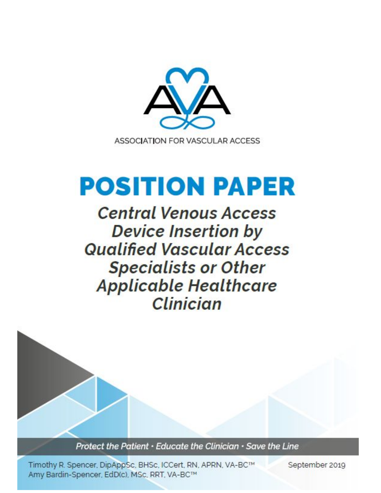

# **POSITION PAPER**

**Central Venous Access Device Insertion by Qualified Vascular Access Specialists or Other Applicable Healthcare** Clinician

Protect the Patient · Educate the Clinician · Save the Line

Timothy R. Spencer, DipAppSc, BHSc, ICCert, RN, APRN, VA-BC™ Amy Bardin-Spencer, EdD(c), MSc, RRT, VA-BC™

September 2019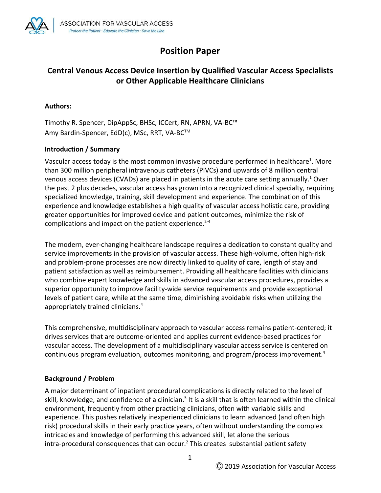

# **Position Paper**

# **Central Venous Access Device Insertion by Qualified Vascular Access Specialists or Other Applicable Healthcare Clinicians**

#### **Authors:**

Timothy R. Spencer, DipAppSc, BHSc, ICCert, RN, APRN, VA-BC™ Amy Bardin-Spencer, EdD(c), MSc, RRT, VA-BC™

#### **Introduction / Summary**

Vascular access today is the most common invasive procedure performed in healthcare<sup>1</sup>. More than 300 million peripheral intravenous catheters (PIVCs) and upwards of 8 million central venous access devices (CVADs) are placed in patients in the acute care setting annually.<sup>1</sup> Over the past 2 plus decades, vascular access has grown into a recognized clinical specialty, requiring specialized knowledge, training, skill development and experience. The combination of this experience and knowledge establishes a high quality of vascular access holistic care, providing greater opportunities for improved device and patient outcomes, minimize the risk of complications and impact on the patient experience. $2-4$ 

The modern, ever-changing healthcare landscape requires a dedication to constant quality and service improvements in the provision of vascular access. These high-volume, often high-risk and problem-prone processes are now directly linked to quality of care, length of stay and patient satisfaction as well as reimbursement. Providing all healthcare facilities with clinicians who combine expert knowledge and skills in advanced vascular access procedures, provides a superior opportunity to improve facility-wide service requirements and provide exceptional levels of patient care, while at the same time, diminishing avoidable risks when utilizing the appropriately trained clinicians.<sup>4</sup>

This comprehensive, multidisciplinary approach to vascular access remains patient-centered; it drives services that are outcome-oriented and applies current evidence-based practices for vascular access. The development of a multidisciplinary vascular access service is centered on continuous program evaluation, outcomes monitoring, and program/process improvement.<sup>4</sup>

#### **Background / Problem**

A major determinant of inpatient procedural complications is directly related to the level of skill, knowledge, and confidence of a clinician.<sup>5</sup> It is a skill that is often learned within the clinical environment, frequently from other practicing clinicians, often with variable skills and experience. This pushes relatively inexperienced clinicians to learn advanced (and often high risk) procedural skills in their early practice years, often without understanding the complex intricacies and knowledge of performing this advanced skill, let alone the serious intra-procedural consequences that can occur.<sup>2</sup> This creates substantial patient safety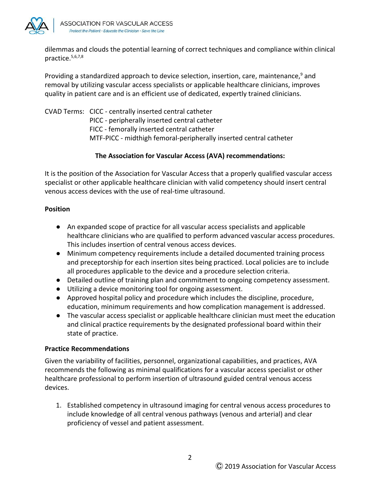

dilemmas and clouds the potential learning of correct techniques and compliance within clinical practice.5,6,7,8

Providing a standardized approach to device selection, insertion, care, maintenance,<sup>9</sup> and removal by utilizing vascular access specialists or applicable healthcare clinicians, improves quality in patient care and is an efficient use of dedicated, expertly trained clinicians.

CVAD Terms: CICC - centrally inserted central catheter PICC - peripherally inserted central catheter FICC - femorally inserted central catheter MTF-PICC - midthigh femoral-peripherally inserted central catheter

### **The Association for Vascular Access (AVA) recommendations:**

It is the position of the Association for Vascular Access that a properly qualified vascular access specialist or other applicable healthcare clinician with valid competency should insert central venous access devices with the use of real-time ultrasound.

#### **Position**

- An expanded scope of practice for all vascular access specialists and applicable healthcare clinicians who are qualified to perform advanced vascular access procedures. This includes insertion of central venous access devices.
- Minimum competency requirements include a detailed documented training process and preceptorship for each insertion sites being practiced. Local policies are to include all procedures applicable to the device and a procedure selection criteria.
- Detailed outline of training plan and commitment to ongoing competency assessment.
- Utilizing a device monitoring tool for ongoing assessment.
- Approved hospital policy and procedure which includes the discipline, procedure, education, minimum requirements and how complication management is addressed.
- The vascular access specialist or applicable healthcare clinician must meet the education and clinical practice requirements by the designated professional board within their state of practice.

#### **Practice Recommendations**

Given the variability of facilities, personnel, organizational capabilities, and practices, AVA recommends the following as minimal qualifications for a vascular access specialist or other healthcare professional to perform insertion of ultrasound guided central venous access devices.

1. Established competency in ultrasound imaging for central venous access procedures to include knowledge of all central venous pathways (venous and arterial) and clear proficiency of vessel and patient assessment.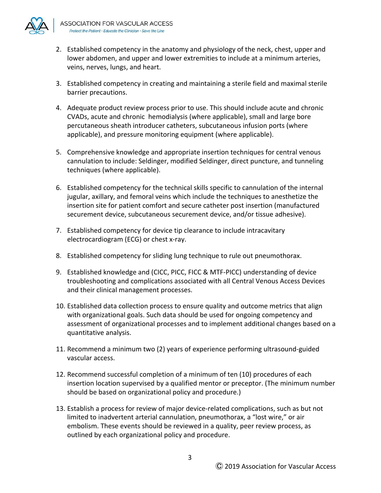

- 2. Established competency in the anatomy and physiology of the neck, chest, upper and lower abdomen, and upper and lower extremities to include at a minimum arteries, veins, nerves, lungs, and heart.
- 3. Established competency in creating and maintaining a sterile field and maximal sterile barrier precautions.
- 4. Adequate product review process prior to use. This should include acute and chronic CVADs, acute and chronic hemodialysis (where applicable), small and large bore percutaneous sheath introducer catheters, subcutaneous infusion ports (where applicable), and pressure monitoring equipment (where applicable).
- 5. Comprehensive knowledge and appropriate insertion techniques for central venous cannulation to include: Seldinger, modified Seldinger, direct puncture, and tunneling techniques (where applicable).
- 6. Established competency for the technical skills specific to cannulation of the internal jugular, axillary, and femoral veins which include the techniques to anesthetize the insertion site for patient comfort and secure catheter post insertion (manufactured securement device, subcutaneous securement device, and/or tissue adhesive).
- 7. Established competency for device tip clearance to include intracavitary electrocardiogram (ECG) or chest x-ray.
- 8. Established competency for sliding lung technique to rule out pneumothorax.
- 9. Established knowledge and (CICC, PICC, FICC & MTF-PICC) understanding of device troubleshooting and complications associated with all Central Venous Access Devices and their clinical management processes.
- 10. Established data collection process to ensure quality and outcome metrics that align with organizational goals. Such data should be used for ongoing competency and assessment of organizational processes and to implement additional changes based on a quantitative analysis.
- 11. Recommend a minimum two (2) years of experience performing ultrasound-guided vascular access.
- 12. Recommend successful completion of a minimum of ten (10) procedures of each insertion location supervised by a qualified mentor or preceptor. (The minimum number should be based on organizational policy and procedure.)
- 13. Establish a process for review of major device-related complications, such as but not limited to inadvertent arterial cannulation, pneumothorax, a "lost wire," or air embolism. These events should be reviewed in a quality, peer review process, as outlined by each organizational policy and procedure.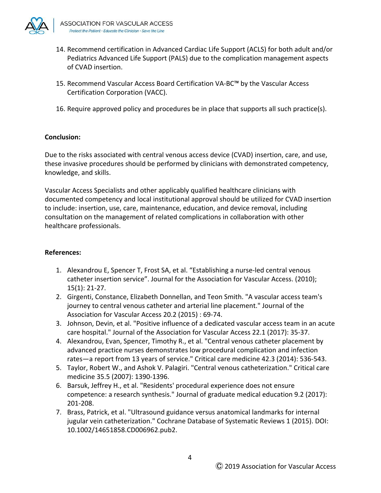

- 14. Recommend certification in Advanced Cardiac Life Support (ACLS) for both adult and/or Pediatrics Advanced Life Support (PALS) due to the complication management aspects of CVAD insertion.
- 15. Recommend Vascular Access Board Certification VA-BC™ by the Vascular Access Certification Corporation (VACC).
- 16. Require approved policy and procedures be in place that supports all such practice(s).

#### **Conclusion:**

Due to the risks associated with central venous access device (CVAD) insertion, care, and use, these invasive procedures should be performed by clinicians with demonstrated competency, knowledge, and skills.

Vascular Access Specialists and other applicably qualified healthcare clinicians with documented competency and local institutional approval should be utilized for CVAD insertion to include: insertion, use, care, maintenance, education, and device removal, including consultation on the management of related complications in collaboration with other healthcare professionals.

#### **References:**

- 1. Alexandrou E, Spencer T, Frost SA, et al. "Establishing a nurse-led central venous catheter insertion service". Journal for the Association for Vascular Access. (2010); 15(1): 21-27.
- 2. Girgenti, Constance, Elizabeth Donnellan, and Teon Smith. "A vascular access team's journey to central venous catheter and arterial line placement." Journal of the Association for Vascular Access 20.2 (2015) : 69-74.
- 3. Johnson, Devin, et al. "Positive influence of a dedicated vascular access team in an acute care hospital." Journal of the Association for Vascular Access 22.1 (2017): 35-37.
- 4. Alexandrou, Evan, Spencer, Timothy R., et al. "Central venous catheter placement by advanced practice nurses demonstrates low procedural complication and infection rates—a report from 13 years of service." Critical care medicine 42.3 (2014): 536-543.
- 5. Taylor, Robert W., and Ashok V. Palagiri. "Central venous catheterization." Critical care medicine 35.5 (2007): 1390-1396.
- 6. Barsuk, Jeffrey H., et al. "Residents' procedural experience does not ensure competence: a research synthesis." Journal of graduate medical education 9.2 (2017): 201-208.
- 7. Brass, Patrick, et al. "Ultrasound guidance versus anatomical landmarks for internal jugular vein catheterization." Cochrane Database of Systematic Reviews 1 (2015). DOI: 10.1002/14651858.CD006962.pub2.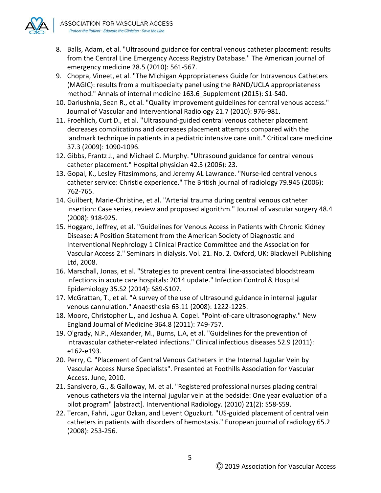

- 8. Balls, Adam, et al. "Ultrasound guidance for central venous catheter placement: results from the Central Line Emergency Access Registry Database." The American journal of emergency medicine 28.5 (2010): 561-567.
- 9. Chopra, Vineet, et al. "The Michigan Appropriateness Guide for Intravenous Catheters (MAGIC): results from a multispecialty panel using the RAND/UCLA appropriateness method." Annals of internal medicine 163.6\_Supplement (2015): S1-S40.
- 10. Dariushnia, Sean R., et al. "Quality improvement guidelines for central venous access." Journal of Vascular and Interventional Radiology 21.7 (2010): 976-981.
- 11. Froehlich, Curt D., et al. "Ultrasound-guided central venous catheter placement decreases complications and decreases placement attempts compared with the landmark technique in patients in a pediatric intensive care unit." Critical care medicine 37.3 (2009): 1090-1096.
- 12. Gibbs, Frantz J., and Michael C. Murphy. "Ultrasound guidance for central venous catheter placement." Hospital physician 42.3 (2006): 23.
- 13. Gopal, K., Lesley Fitzsimmons, and Jeremy AL Lawrance. "Nurse-led central venous catheter service: Christie experience." The British journal of radiology 79.945 (2006): 762-765.
- 14. Guilbert, Marie-Christine, et al. "Arterial trauma during central venous catheter insertion: Case series, review and proposed algorithm." Journal of vascular surgery 48.4 (2008): 918-925.
- 15. Hoggard, Jeffrey, et al. "Guidelines for Venous Access in Patients with Chronic Kidney Disease: A Position Statement from the American Society of Diagnostic and Interventional Nephrology 1 Clinical Practice Committee and the Association for Vascular Access 2." Seminars in dialysis. Vol. 21. No. 2. Oxford, UK: Blackwell Publishing Ltd, 2008.
- 16. Marschall, Jonas, et al. "Strategies to prevent central line-associated bloodstream infections in acute care hospitals: 2014 update." Infection Control & Hospital Epidemiology 35.S2 (2014): S89-S107.
- 17. McGrattan, T., et al. "A survey of the use of ultrasound guidance in internal jugular venous cannulation." Anaesthesia 63.11 (2008): 1222-1225.
- 18. Moore, Christopher L., and Joshua A. Copel. "Point-of-care ultrasonography." New England Journal of Medicine 364.8 (2011): 749-757.
- 19. O'grady, N.P., Alexander, M., Burns, L.A, et al. "Guidelines for the prevention of intravascular catheter-related infections." Clinical infectious diseases 52.9 (2011): e162-e193.
- 20. Perry, C. "Placement of Central Venous Catheters in the Internal Jugular Vein by Vascular Access Nurse Specialists". Presented at Foothills Association for Vascular Access. June, 2010.
- 21. Sansivero, G., & Galloway, M. et al. "Registered professional nurses placing central venous catheters via the internal jugular vein at the bedside: One year evaluation of a pilot program" [abstract]. Interventional Radiology. (2010) 21(2): S58-S59.
- 22. Tercan, Fahri, Ugur Ozkan, and Levent Oguzkurt. "US-guided placement of central vein catheters in patients with disorders of hemostasis." European journal of radiology 65.2 (2008): 253-256.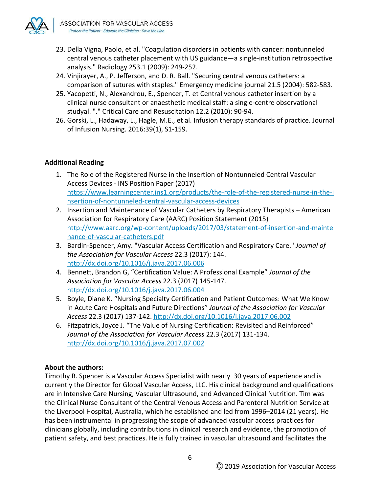

- 23. Della Vigna, Paolo, et al. "Coagulation disorders in patients with cancer: nontunneled central venous catheter placement with US guidance—a single-institution retrospective analysis." Radiology 253.1 (2009): 249-252.
- 24. Vinjirayer, A., P. Jefferson, and D. R. Ball. "Securing central venous catheters: a comparison of sutures with staples." Emergency medicine journal 21.5 (2004): 582-583.
- 25. Yacopetti, N., Alexandrou, E., Spencer, T. et Central venous catheter insertion by a clinical nurse consultant or anaesthetic medical staff: a single-centre observational studyal. "." Critical Care and Resuscitation 12.2 (2010): 90-94.
- 26. Gorski, L., Hadaway, L., Hagle, M.E., et al. Infusion therapy standards of practice. Journal of Infusion Nursing. 2016:39(1), S1-159.

# **Additional Reading**

- 1. The Role of the Registered Nurse in the Insertion of Nontunneled Central Vascular Access Devices - INS Position Paper (2017) [https://www.learningcenter.ins1.org/products/the-role-of-the-registered-nurse-in-the-i](https://www.learningcenter.ins1.org/products/the-role-of-the-registered-nurse-in-the-insertion-of-nontunneled-central-vascular-access-devices) [nsertion-of-nontunneled-central-vascular-access-devices](https://www.learningcenter.ins1.org/products/the-role-of-the-registered-nurse-in-the-insertion-of-nontunneled-central-vascular-access-devices)
- 2. Insertion and Maintenance of Vascular Catheters by Respiratory Therapists American Association for Respiratory Care (AARC) Position Statement (2015) [http://www.aarc.org/wp-content/uploads/2017/03/statement-of-insertion-and-mainte](http://www.aarc.org/wp-content/uploads/2017/03/statement-of-insertion-and-maintenance-of-vascular-catheters.pdf) [nance-of-vascular-catheters.pdf](http://www.aarc.org/wp-content/uploads/2017/03/statement-of-insertion-and-maintenance-of-vascular-catheters.pdf)
- 3. Bardin-Spencer, Amy. "Vascular Access Certification and Respiratory Care." *Journal of the Association for Vascular Access* 22.3 (2017): 144. <http://dx.doi.org/10.1016/j.java.2017.06.006>
- 4. Bennett, Brandon G, "Certification Value: A Professional Example" *Journal of the Association for Vascular Access* 22.3 (2017) 145-147. <http://dx.doi.org/10.1016/j.java.2017.06.004>
- 5. Boyle, Diane K. "Nursing Specialty Certification and Patient Outcomes: What We Know in Acute Care Hospitals and Future Directions" *Journal of the Association for Vascular Access* 22.3 (2017) 137-142. <http://dx.doi.org/10.1016/j.java.2017.06.002>
- 6. Fitzpatrick, Joyce J. "The Value of Nursing Certification: Revisited and Reinforced" *Journal of the Association for Vascular Access* 22.3 (2017) 131-134. <http://dx.doi.org/10.1016/j.java.2017.07.002>

# **About the authors:**

Timothy R. Spencer is a Vascular Access Specialist with nearly 30 years of experience and is currently the Director for Global Vascular Access, LLC. His clinical background and qualifications are in Intensive Care Nursing, Vascular Ultrasound, and Advanced Clinical Nutrition. Tim was the Clinical Nurse Consultant of the Central Venous Access and Parenteral Nutrition Service at the Liverpool Hospital, Australia, which he established and led from 1996–2014 (21 years). He has been instrumental in progressing the scope of advanced vascular access practices for clinicians globally, including contributions in clinical research and evidence, the promotion of patient safety, and best practices. He is fully trained in vascular ultrasound and facilitates the